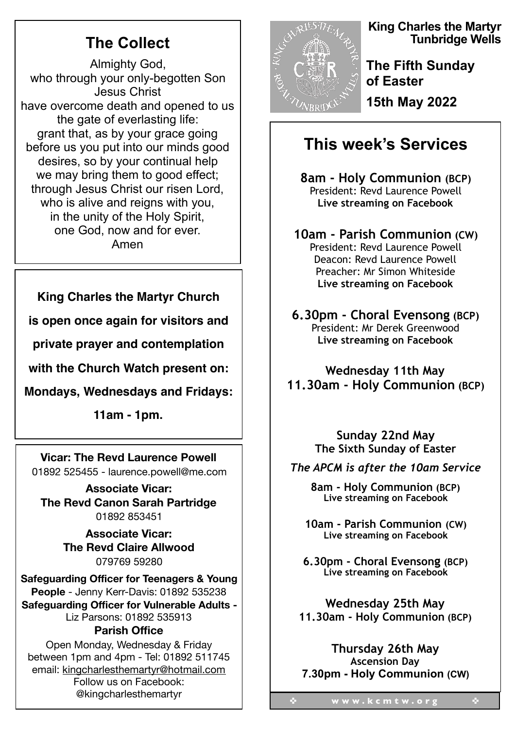# **The Collect**

Almighty God, who through your only-begotten Son Jesus Christ have overcome death and opened to us the gate of everlasting life: grant that, as by your grace going before us you put into our minds good desires, so by your continual help we may bring them to good effect; through Jesus Christ our risen Lord, who is alive and reigns with you, in the unity of the Holy Spirit, one God, now and for ever. Amen

### **King Charles the Martyr Church**

**is open once again for visitors and**

**private prayer and contemplation** 

**with the Church Watch present on:**

**Mondays, Wednesdays and Fridays:**

**11am - 1pm.**

**Vicar: The Revd Laurence Powell**  01892 525455 - laurence.powell@me.com

**Associate Vicar: The Revd Canon Sarah Partridge**  01892 853451

> **Associate Vicar: The Revd Claire Allwood**  079769 59280

**Safeguarding Officer for Teenagers & Young People** - Jenny Kerr-Davis: 01892 535238 **Safeguarding Officer for Vulnerable Adults -**  Liz Parsons: 01892 535913 **Parish Office** 

#### Open Monday, Wednesday & Friday between 1pm and 4pm - Tel: 01892 511745 email: kingcharlesthemartyr@hotmail.com Follow us on Facebook: @kingcharlesthemartyr



**King Charles the Martyr Tunbridge Wells** 

**The Fifth Sunday of Easter 15th May 2022** 

## **This week's Services**

**8am - Holy Communion (BCP)**  President: Revd Laurence Powell **Live streaming on Facebook** 

**10am - Parish Communion (CW)**  President: Revd Laurence Powell Deacon: Revd Laurence Powell Preacher: Mr Simon Whiteside **Live streaming on Facebook** 

**6.30pm - Choral Evensong (BCP)** President: Mr Derek Greenwood **Live streaming on Facebook** 

**Wednesday 11th May 11.30am - Holy Communion (BCP)** 

> **Sunday 22nd May The Sixth Sunday of Easter**

*The APCM is after the 10am Service* 

**8am - Holy Communion (BCP) Live streaming on Facebook** 

**10am - Parish Communion (CW) Live streaming on Facebook** 

**6.30pm - Choral Evensong (BCP) Live streaming on Facebook** 

**Wednesday 25th May 11.30am - Holy Communion (BCP)** 

**Thursday 26th May Ascension Day 7.30pm - Holy Communion (CW)**